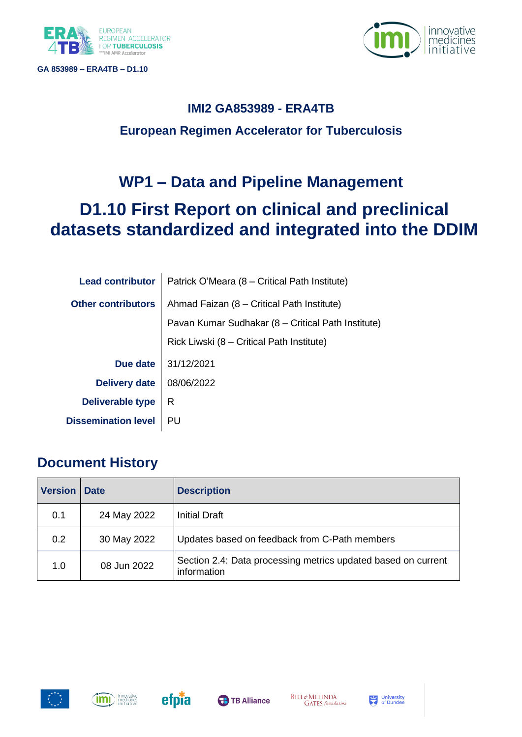





## **IMI2 GA853989 - ERA4TB European Regimen Accelerator for Tuberculosis**

# **WP1 – Data and Pipeline Management**

# **D1.10 First Report on clinical and preclinical datasets standardized and integrated into the DDIM**

| <b>Lead contributor</b>    | Patrick O'Meara (8 – Critical Path Institute)      |
|----------------------------|----------------------------------------------------|
| <b>Other contributors</b>  | Ahmad Faizan (8 – Critical Path Institute)         |
|                            | Pavan Kumar Sudhakar (8 – Critical Path Institute) |
|                            | Rick Liwski (8 – Critical Path Institute)          |
| Due date                   | 31/12/2021                                         |
| <b>Delivery date</b>       | 08/06/2022                                         |
| Deliverable type           | R                                                  |
| <b>Dissemination level</b> | PU                                                 |

## **Document History**

| <b>Version</b> | <b>Date</b> | <b>Description</b>                                                           |
|----------------|-------------|------------------------------------------------------------------------------|
| 0.1            | 24 May 2022 | <b>Initial Draft</b>                                                         |
| 0.2            | 30 May 2022 | Updates based on feedback from C-Path members                                |
| 1.0            | 08 Jun 2022 | Section 2.4: Data processing metrics updated based on current<br>information |







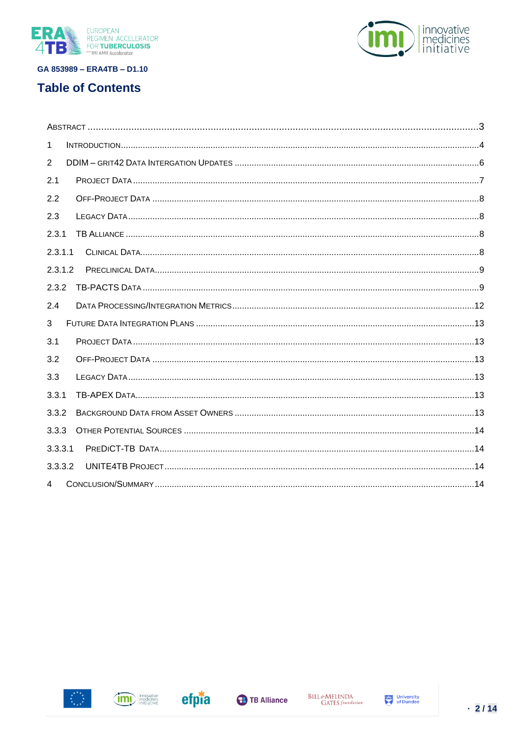





| 1       |  |
|---------|--|
| 2       |  |
| 2.1     |  |
| 2.2     |  |
| 2.3     |  |
| 2.3.1   |  |
| 2.3.1.1 |  |
| 2.3.1.2 |  |
| 2.3.2   |  |
| 2.4     |  |
| 3       |  |
| 3.1     |  |
| 3.2     |  |
| 3.3     |  |
| 3.3.1   |  |
| 3.3.2   |  |
| 3.3.3   |  |
| 3.3.3.1 |  |
| 3.3.3.2 |  |
| 4       |  |





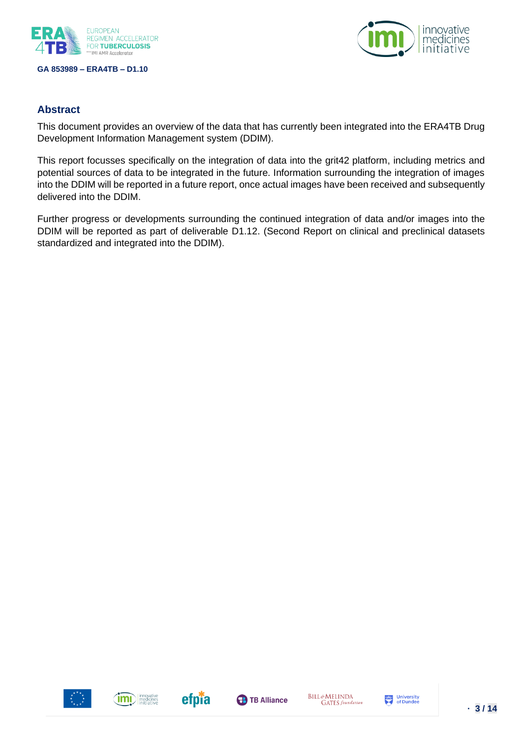



#### <span id="page-2-0"></span>**Abstract**

This document provides an overview of the data that has currently been integrated into the ERA4TB Drug Development Information Management system (DDIM).

This report focusses specifically on the integration of data into the grit42 platform, including metrics and potential sources of data to be integrated in the future. Information surrounding the integration of images into the DDIM will be reported in a future report, once actual images have been received and subsequently delivered into the DDIM.

Further progress or developments surrounding the continued integration of data and/or images into the DDIM will be reported as part of deliverable D1.12. (Second Report on clinical and preclinical datasets standardized and integrated into the DDIM).







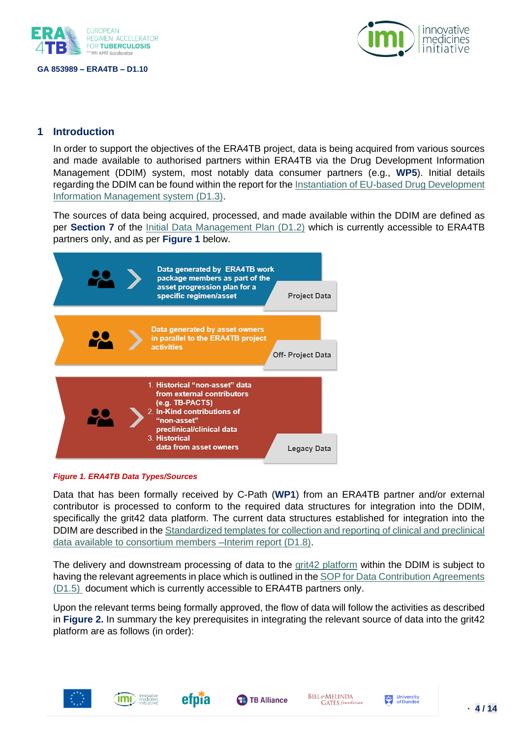



## <span id="page-3-0"></span>**1 Introduction**

In order to support the objectives of the ERA4TB project, data is being acquired from various sources and made available to authorised partners within ERA4TB via the Drug Development Information Management (DDIM) system, most notably data consumer partners (e.g., **WP5**). Initial details regarding the DDIM can be found within the report for th[e Instantiation of EU-based Drug Development](https://era4tb.org/wp-content/uploads/2022/02/ERA4TB_WP1_D1.3_V0.5_FINAL_WEB.pdf)  [Information Management system \(D1.3\).](https://era4tb.org/wp-content/uploads/2022/02/ERA4TB_WP1_D1.3_V0.5_FINAL_WEB.pdf)

The sources of data being acquired, processed, and made available within the DDIM are defined as per **Section 7** of the [Initial Data Management Plan \(D1.2\)](https://synapsemanagers.sharepoint.com/:b:/r/sites/ETB-RA/Shared%20Documents/Submitted%20deliverables/D1.2_Data%20Management%20Plan_v1.0_FINAL.pdf?csf=1&web=1&e=bsc6od) which is currently accessible to ERA4TB partners only, and as per **Figure 1** below.



#### *Figure 1. ERA4TB Data Types/Sources*

Data that has been formally received by C-Path (**WP1**) from an ERA4TB partner and/or external contributor is processed to conform to the required data structures for integration into the DDIM, specifically the grit42 data platform. The current data structures established for integration into the DDIM are described in th[e Standardized templates for collection and reporting of clinical and preclinical](https://era4tb.org/wp-content/uploads/2022/02/ERA4TB_D1.8_Data-Standards-Interim-Report_v0.4_for-submission_WEB.pdf)  [data available to consortium members –Interim report](https://era4tb.org/wp-content/uploads/2022/02/ERA4TB_D1.8_Data-Standards-Interim-Report_v0.4_for-submission_WEB.pdf) (D1.8).

The delivery and downstream processing of data to the grita platform within the DDIM is subject to having the relevant agreements in place which is outlined in the [SOP for Data Contribution Agreements](https://synapsemanagers.sharepoint.com/:b:/r/sites/ETB-RA/Shared%20Documents/Submitted%20deliverables/D1.5_SOP%20for%20Data%20Contribution%20Agreements_v1.0_FINAL_190721.pdf?csf=1&web=1&e=IKwsya)  [\(D1.5\)](https://synapsemanagers.sharepoint.com/:b:/r/sites/ETB-RA/Shared%20Documents/Submitted%20deliverables/D1.5_SOP%20for%20Data%20Contribution%20Agreements_v1.0_FINAL_190721.pdf?csf=1&web=1&e=IKwsya) document which is currently accessible to ERA4TB partners only.

Upon the relevant terms being formally approved, the flow of data will follow the activities as described in **Figure 2.** In summary the key prerequisites in integrating the relevant source of data into the grit42 platform are as follows (in order):









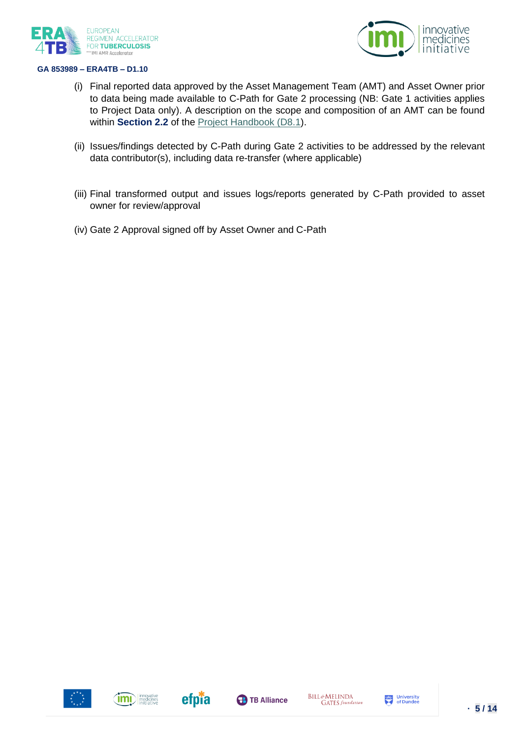



- (i) Final reported data approved by the Asset Management Team (AMT) and Asset Owner prior to data being made available to C-Path for Gate 2 processing (NB: Gate 1 activities applies to Project Data only). A description on the scope and composition of an AMT can be found within **Section 2.2** of the [Project Handbook \(D8.1\)](https://era4tb.org/wp-content/uploads/2022/02/D8.1_Project-Handbook_v1.2_Final_WEB.pdf).
- (ii) Issues/findings detected by C-Path during Gate 2 activities to be addressed by the relevant data contributor(s), including data re-transfer (where applicable)
- (iii) Final transformed output and issues logs/reports generated by C-Path provided to asset owner for review/approval
- (iv) Gate 2 Approval signed off by Asset Owner and C-Path





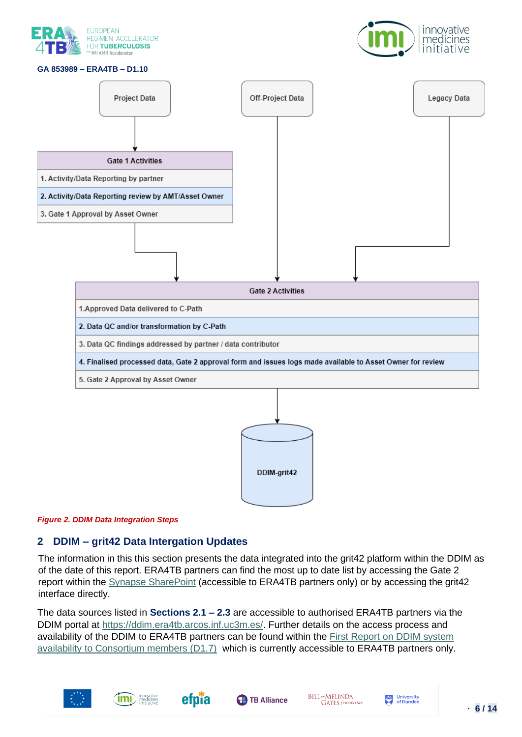





#### *Figure 2. DDIM Data Integration Steps*

## <span id="page-5-0"></span>**2 DDIM – grit42 Data Intergation Updates**

The information in this this section presents the data integrated into the grit42 platform within the DDIM as of the date of this report. ERA4TB partners can find the most up to date list by accessing the Gate 2 report within the [Synapse SharePoint](https://synapsemanagers.sharepoint.com/:f:/r/sites/ETB-RA/wp1/Shared%20Documents/Reports/Gate%202%20Data%20Integration?csf=1&web=1&e=fy48Im) (accessible to ERA4TB partners only) or by accessing the grit42 interface directly.

The data sources listed in **Sections 2.1 – 2.3** are accessible to authorised ERA4TB partners via the DDIM portal at [https://ddim.era4tb.arcos.inf.uc3m.es/.](https://ddim.era4tb.arcos.inf.uc3m.es/) Further details on the access process and availability of the DDIM to ERA4TB partners can be found within the [First Report on DDIM system](https://synapsemanagers.sharepoint.com/:b:/r/sites/ETB-RA/Shared%20Documents/Submitted%20deliverables/D1.7%20_First%20Report%20on%20DDIM%20system%20availability_v0.2_for%20submission.pdf?csf=1&web=1&e=dbgHET)  [availability to Consortium members \(D1.7\)](https://synapsemanagers.sharepoint.com/:b:/r/sites/ETB-RA/Shared%20Documents/Submitted%20deliverables/D1.7%20_First%20Report%20on%20DDIM%20system%20availability_v0.2_for%20submission.pdf?csf=1&web=1&e=dbgHET) which is currently accessible to ERA4TB partners only.











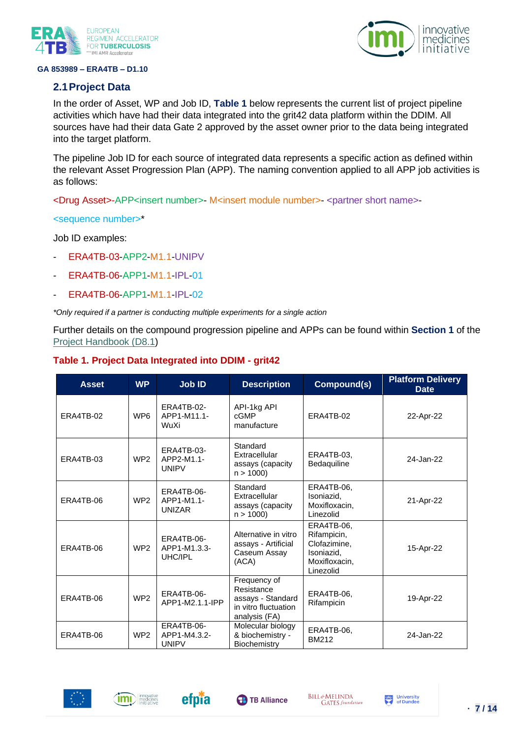

#### <span id="page-6-0"></span>**2.1Project Data**



In the order of Asset, WP and Job ID, **Table 1** below represents the current list of project pipeline activities which have had their data integrated into the grit42 data platform within the DDIM. All sources have had their data Gate 2 approved by the asset owner prior to the data being integrated into the target platform.

The pipeline Job ID for each source of integrated data represents a specific action as defined within the relevant Asset Progression Plan (APP). The naming convention applied to all APP job activities is as follows:

<Drug Asset>-APP<insert number>- M<insert module number>- <partner short name>-

<sequence number>\*

Job ID examples:

- ERA4TB-03-APP2-M1.1-UNIPV
- ERA4TB-06-APP1-M1.1-IPL-01
- ERA4TB-06-APP1-M1.1-IPL-02

*\*Only required if a partner is conducting multiple experiments for a single action*

Further details on the compound progression pipeline and APPs can be found within **Section 1** of the [Project Handbook \(D8.1\)](https://era4tb.org/wp-content/uploads/2022/02/D8.1_Project-Handbook_v1.2_Final_WEB.pdf)

| <b>Asset</b> | <b>WP</b>       | <b>Job ID</b>                                     | <b>Description</b>                                                                       | Compound(s)                                                                           | <b>Platform Delivery</b><br><b>Date</b> |
|--------------|-----------------|---------------------------------------------------|------------------------------------------------------------------------------------------|---------------------------------------------------------------------------------------|-----------------------------------------|
| ERA4TB-02    | WP <sub>6</sub> | <b>ERA4TB-02-</b><br>APP1-M11.1-<br>WuXi          | API-1kg API<br>cGMP<br>ERA4TB-02<br>manufacture                                          |                                                                                       | 22-Apr-22                               |
| ERA4TB-03    | WP <sub>2</sub> | ERA4TB-03-<br>APP2-M1.1-<br><b>UNIPV</b>          | Standard<br>Extracellular<br>assays (capacity<br>n > 1000                                | ERA4TB-03,<br>Bedaquiline                                                             | 24-Jan-22                               |
| ERA4TB-06    | WP <sub>2</sub> | <b>ERA4TB-06-</b><br>APP1-M1.1-<br><b>UNIZAR</b>  | Standard<br>Extracellular<br>assays (capacity<br>n > 1000                                | ERA4TB-06.<br>Isoniazid,<br>Moxifloxacin,<br>Linezolid                                | 21-Apr-22                               |
| ERA4TB-06    | WP <sub>2</sub> | <b>ERA4TB-06-</b><br>APP1-M1.3.3-<br>UHC/IPL      | Alternative in vitro<br>assays - Artificial<br>Caseum Assay<br>(ACA)                     | ERA4TB-06,<br>Rifampicin,<br>Clofazimine.<br>Isoniazid.<br>Moxifloxacin,<br>Linezolid | 15-Apr-22                               |
| ERA4TB-06    | WP <sub>2</sub> | <b>ERA4TB-06-</b><br>APP1-M2.1.1-IPP              | Frequency of<br>Resistance<br>assays - Standard<br>in vitro fluctuation<br>analysis (FA) | ERA4TB-06.<br>Rifampicin                                                              | 19-Apr-22                               |
| ERA4TB-06    | WP <sub>2</sub> | <b>ERA4TB-06-</b><br>APP1-M4.3.2-<br><b>UNIPV</b> | Molecular biology<br>& biochemistry -<br>Biochemistry                                    | ERA4TB-06,<br><b>BM212</b>                                                            | 24-Jan-22                               |

#### **Table 1. Project Data Integrated into DDIM - grit42**







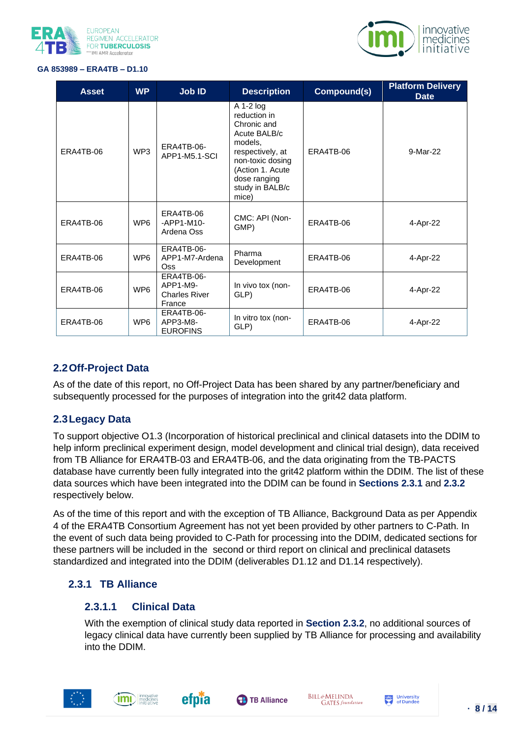



| <b>Asset</b> | <b>WP</b>       | Job ID                                                          | <b>Description</b>                                                                                                                                                                       | Compound(s) | <b>Platform Delivery</b><br><b>Date</b> |
|--------------|-----------------|-----------------------------------------------------------------|------------------------------------------------------------------------------------------------------------------------------------------------------------------------------------------|-------------|-----------------------------------------|
| ERA4TB-06    | WP3             | ERA4TB-06-<br>APP1-M5.1-SCI                                     | A 1-2 log<br>reduction in<br>Chronic and<br>Acute BALB/c<br>models.<br>ERA4TB-06<br>respectively, at<br>non-toxic dosing<br>(Action 1. Acute<br>dose ranging<br>study in BALB/c<br>mice) |             | 9-Mar-22                                |
| ERA4TB-06    | WP <sub>6</sub> | ERA4TB-06<br>$-APP1-M10-$<br>Ardena Oss                         | CMC: API (Non-<br>GMP)                                                                                                                                                                   | ERA4TB-06   | 4-Apr-22                                |
| ERA4TB-06    | WP <sub>6</sub> | ERA4TB-06-<br>APP1-M7-Ardena<br>Oss <sup></sup>                 | Pharma<br>Development                                                                                                                                                                    | ERA4TB-06   | 4-Apr-22                                |
| ERA4TB-06    | WP <sub>6</sub> | <b>ERA4TB-06-</b><br>APP1-M9-<br><b>Charles River</b><br>France | In vivo tox (non-<br>GLP)                                                                                                                                                                | ERA4TB-06   | 4-Apr-22                                |
| ERA4TB-06    | WP <sub>6</sub> | ERA4TB-06-<br>APP3-M8-<br><b>EUROFINS</b>                       | In vitro tox (non-<br>GLP)                                                                                                                                                               | ERA4TB-06   | 4-Apr-22                                |

## <span id="page-7-0"></span>**2.2Off-Project Data**

As of the date of this report, no Off-Project Data has been shared by any partner/beneficiary and subsequently processed for the purposes of integration into the grit42 data platform.

## <span id="page-7-1"></span>**2.3Legacy Data**

To support objective O1.3 (Incorporation of historical preclinical and clinical datasets into the DDIM to help inform preclinical experiment design, model development and clinical trial design), data received from TB Alliance for ERA4TB-03 and ERA4TB-06, and the data originating from the TB-PACTS database have currently been fully integrated into the grit42 platform within the DDIM. The list of these data sources which have been integrated into the DDIM can be found in **Sections 2.3.1** and **2.3.2**  respectively below.

As of the time of this report and with the exception of TB Alliance, Background Data as per Appendix 4 of the ERA4TB Consortium Agreement has not yet been provided by other partners to C-Path. In the event of such data being provided to C-Path for processing into the DDIM, dedicated sections for these partners will be included in the second or third report on clinical and preclinical datasets standardized and integrated into the DDIM (deliverables D1.12 and D1.14 respectively).

## <span id="page-7-3"></span><span id="page-7-2"></span>**2.3.1 TB Alliance**

#### **2.3.1.1 Clinical Data**

With the exemption of clinical study data reported in **Section 2.3.2**, no additional sources of legacy clinical data have currently been supplied by TB Alliance for processing and availability into the DDIM.







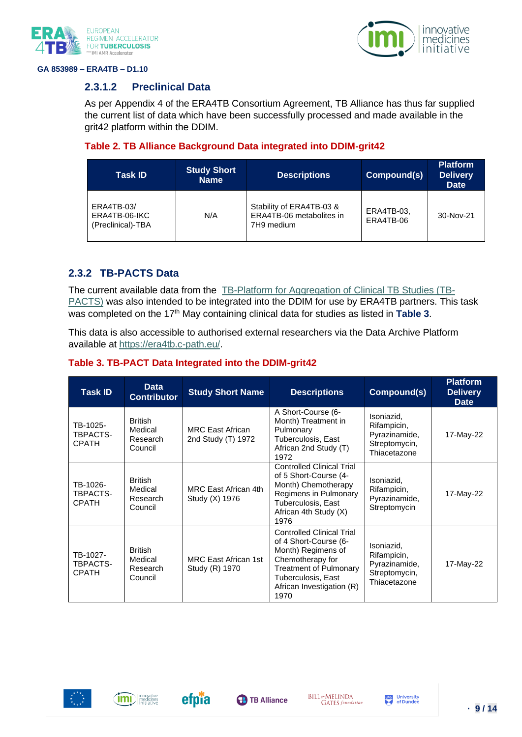



## <span id="page-8-0"></span>**2.3.1.2 Preclinical Data**

As per Appendix 4 of the ERA4TB Consortium Agreement, TB Alliance has thus far supplied the current list of data which have been successfully processed and made available in the grit42 platform within the DDIM.

## **Table 2. TB Alliance Background Data integrated into DDIM-grit42**

| <b>Task ID</b>                                   | <b>Study Short</b><br><b>Name</b> | <b>Descriptions</b>                                                | Compound(s)             | <b>Platform</b><br><b>Delivery</b><br><b>Date</b> |
|--------------------------------------------------|-----------------------------------|--------------------------------------------------------------------|-------------------------|---------------------------------------------------|
| ERA4TB-03/<br>ERA4TB-06-IKC<br>(Preclinical)-TBA | N/A                               | Stability of ERA4TB-03 &<br>ERA4TB-06 metabolites in<br>7H9 medium | ERA4TB-03.<br>ERA4TB-06 | 30-Nov-21                                         |

## <span id="page-8-1"></span>**2.3.2 TB-PACTS Data**

The current available data from the [TB-Platform for Aggregation of Clinical TB Studies \(TB-](https://c-path.org/programs/tb-pacts/)[PACTS\)](https://c-path.org/programs/tb-pacts/) was also intended to be integrated into the DDIM for use by ERA4TB partners. This task was completed on the 17<sup>th</sup> May containing clinical data for studies as listed in Table 3.

This data is also accessible to authorised external researchers via the Data Archive Platform available at [https://era4tb.c-path.eu/.](https://era4tb.c-path.eu/)

| <b>Task ID</b>                       | <b>Data</b><br><b>Contributor</b>                | <b>Study Short Name</b>                       | <b>Descriptions</b>                                                                                                                                                                             | Compound(s)                                                                 | <b>Platform</b><br><b>Delivery</b><br><b>Date</b> |
|--------------------------------------|--------------------------------------------------|-----------------------------------------------|-------------------------------------------------------------------------------------------------------------------------------------------------------------------------------------------------|-----------------------------------------------------------------------------|---------------------------------------------------|
| TB-1025-<br>TBPACTS-<br><b>CPATH</b> | <b>British</b><br>Medical<br>Research<br>Council | <b>MRC East African</b><br>2nd Study (T) 1972 | A Short-Course (6-<br>Month) Treatment in<br>Pulmonary<br>Tuberculosis, East<br>African 2nd Study (T)<br>1972                                                                                   | Isoniazid,<br>Rifampicin,<br>Pyrazinamide,<br>Streptomycin,<br>Thiacetazone | 17-May-22                                         |
| TB-1026-<br>TBPACTS-<br><b>CPATH</b> | <b>British</b><br>Medical<br>Research<br>Council | MRC East African 4th<br>Study (X) 1976        | <b>Controlled Clinical Trial</b><br>of 5 Short-Course (4-<br>Month) Chemotherapy<br>Regimens in Pulmonary<br>Tuberculosis, East<br>African 4th Study (X)<br>1976                                | Isoniazid,<br>Rifampicin,<br>Pyrazinamide,<br>Streptomycin                  | 17-May-22                                         |
| TB-1027-<br>TBPACTS-<br><b>CPATH</b> | <b>British</b><br>Medical<br>Research<br>Council | <b>MRC East African 1st</b><br>Study (R) 1970 | <b>Controlled Clinical Trial</b><br>of 4 Short-Course (6-<br>Month) Regimens of<br>Chemotherapy for<br><b>Treatment of Pulmonary</b><br>Tuberculosis, East<br>African Investigation (R)<br>1970 | Isoniazid,<br>Rifampicin,<br>Pyrazinamide,<br>Streptomycin,<br>Thiacetazone | 17-May-22                                         |

## **Table 3. TB-PACT Data Integrated into the DDIM-grit42**





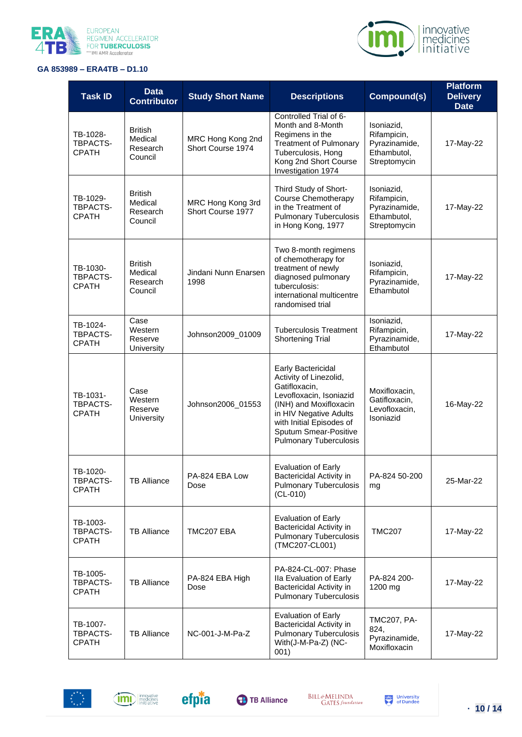



| <b>Task ID</b>                              | <b>Data</b><br><b>Contributor</b>                | <b>Study Short Name</b>                | <b>Descriptions</b>                                                                                                                                                                                                                | Compound(s)                                                               | <b>Platform</b><br><b>Delivery</b><br><b>Date</b> |
|---------------------------------------------|--------------------------------------------------|----------------------------------------|------------------------------------------------------------------------------------------------------------------------------------------------------------------------------------------------------------------------------------|---------------------------------------------------------------------------|---------------------------------------------------|
| TB-1028-<br>TBPACTS-<br><b>CPATH</b>        | <b>British</b><br>Medical<br>Research<br>Council | MRC Hong Kong 2nd<br>Short Course 1974 | Controlled Trial of 6-<br>Month and 8-Month<br>Regimens in the<br><b>Treatment of Pulmonary</b><br>Tuberculosis, Hong<br>Kong 2nd Short Course<br>Investigation 1974                                                               | Isoniazid,<br>Rifampicin,<br>Pyrazinamide,<br>Ethambutol,<br>Streptomycin | 17-May-22                                         |
| TB-1029-<br>TBPACTS-<br><b>CPATH</b>        | <b>British</b><br>Medical<br>Research<br>Council | MRC Hong Kong 3rd<br>Short Course 1977 | Third Study of Short-<br><b>Course Chemotherapy</b><br>in the Treatment of<br><b>Pulmonary Tuberculosis</b><br>in Hong Kong, 1977                                                                                                  | Isoniazid.<br>Rifampicin,<br>Pyrazinamide,<br>Ethambutol,<br>Streptomycin | 17-May-22                                         |
| TB-1030-<br><b>TBPACTS-</b><br><b>CPATH</b> | <b>British</b><br>Medical<br>Research<br>Council | Jindani Nunn Enarsen<br>1998           | Two 8-month regimens<br>of chemotherapy for<br>treatment of newly<br>diagnosed pulmonary<br>tuberculosis:<br>international multicentre<br>randomised trial                                                                         | Isoniazid,<br>Rifampicin,<br>Pyrazinamide,<br>Ethambutol                  | 17-May-22                                         |
| TB-1024-<br>TBPACTS-<br><b>CPATH</b>        | Case<br>Western<br>Reserve<br>University         | Johnson2009_01009                      | <b>Tuberculosis Treatment</b><br><b>Shortening Trial</b>                                                                                                                                                                           | Isoniazid,<br>Rifampicin,<br>Pyrazinamide,<br>Ethambutol                  | 17-May-22                                         |
| TB-1031-<br>TBPACTS-<br><b>CPATH</b>        | Case<br>Western<br>Reserve<br>University         | Johnson2006_01553                      | Early Bactericidal<br>Activity of Linezolid,<br>Gatifloxacin,<br>Levofloxacin, Isoniazid<br>(INH) and Moxifloxacin<br>in HIV Negative Adults<br>with Initial Episodes of<br>Sputum Smear-Positive<br><b>Pulmonary Tuberculosis</b> | Moxifloxacin,<br>Gatifloxacin,<br>Levofloxacin,<br>Isoniazid              | 16-May-22                                         |
| TB-1020-<br>TBPACTS-<br><b>CPATH</b>        | <b>TB Alliance</b>                               | PA-824 EBA Low<br>Dose                 | <b>Evaluation of Early</b><br>Bactericidal Activity in<br><b>Pulmonary Tuberculosis</b><br>$(CL-010)$                                                                                                                              | PA-824 50-200<br>mg                                                       | 25-Mar-22                                         |
| TB-1003-<br>TBPACTS-<br><b>CPATH</b>        | <b>TB Alliance</b>                               | TMC207 EBA                             | <b>Evaluation of Early</b><br>Bactericidal Activity in<br><b>Pulmonary Tuberculosis</b><br>(TMC207-CL001)                                                                                                                          | <b>TMC207</b>                                                             | 17-May-22                                         |
| TB-1005-<br>TBPACTS-<br><b>CPATH</b>        | <b>TB Alliance</b>                               | PA-824 EBA High<br>Dose                | PA-824-CL-007: Phase<br>Ila Evaluation of Early<br>Bactericidal Activity in<br><b>Pulmonary Tuberculosis</b>                                                                                                                       | PA-824 200-<br>1200 mg                                                    | 17-May-22                                         |
| TB-1007-<br>TBPACTS-<br><b>CPATH</b>        | <b>TB Alliance</b>                               | NC-001-J-M-Pa-Z                        | <b>Evaluation of Early</b><br>Bactericidal Activity in<br><b>Pulmonary Tuberculosis</b><br>With(J-M-Pa-Z) (NC-<br>001)                                                                                                             | <b>TMC207, PA-</b><br>824,<br>Pyrazinamide,<br>Moxifloxacin               | 17-May-22                                         |







BILL&MELINDA<br>GATES foundation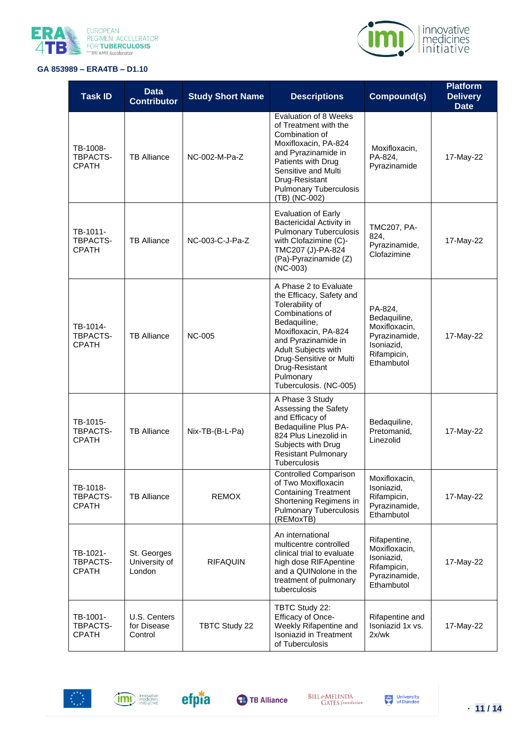



| <b>Task ID</b>                              | <b>Data</b><br><b>Contributor</b>      | <b>Study Short Name</b> | <b>Descriptions</b>                                                                                                                                                                                                                                               | Compound(s)                                                                                          | <b>Platform</b><br><b>Delivery</b><br><b>Date</b> |
|---------------------------------------------|----------------------------------------|-------------------------|-------------------------------------------------------------------------------------------------------------------------------------------------------------------------------------------------------------------------------------------------------------------|------------------------------------------------------------------------------------------------------|---------------------------------------------------|
| TB-1008-<br>TBPACTS-<br><b>CPATH</b>        | <b>TB Alliance</b>                     | NC-002-M-Pa-Z           | Evaluation of 8 Weeks<br>of Treatment with the<br>Combination of<br>Moxifloxacin, PA-824<br>and Pyrazinamide in<br>Patients with Drug<br>Sensitive and Multi<br>Drug-Resistant<br><b>Pulmonary Tuberculosis</b><br>(TB) (NC-002)                                  | Moxifloxacin,<br>PA-824,<br>Pyrazinamide                                                             | 17-May-22                                         |
| TB-1011-<br>TBPACTS-<br><b>CPATH</b>        | <b>TB Alliance</b>                     | NC-003-C-J-Pa-Z         | <b>Evaluation of Early</b><br>Bactericidal Activity in<br><b>Pulmonary Tuberculosis</b><br>with Clofazimine (C)-<br>TMC207 (J)-PA-824<br>(Pa)-Pyrazinamide (Z)<br>$(NC-003)$                                                                                      | <b>TMC207, PA-</b><br>824,<br>Pyrazinamide,<br>Clofazimine                                           | 17-May-22                                         |
| TB-1014-<br><b>TBPACTS-</b><br><b>CPATH</b> | <b>TB Alliance</b>                     | <b>NC-005</b>           | A Phase 2 to Evaluate<br>the Efficacy, Safety and<br>Tolerability of<br>Combinations of<br>Bedaquiline,<br>Moxifloxacin, PA-824<br>and Pyrazinamide in<br>Adult Subjects with<br>Drug-Sensitive or Multi<br>Drug-Resistant<br>Pulmonary<br>Tuberculosis. (NC-005) | PA-824,<br>Bedaquiline,<br>Moxifloxacin,<br>Pyrazinamide,<br>Isoniazid,<br>Rifampicin,<br>Ethambutol | 17-May-22                                         |
| TB-1015-<br>TBPACTS-<br><b>CPATH</b>        | <b>TB Alliance</b>                     | Nix-TB-(B-L-Pa)         | A Phase 3 Study<br>Assessing the Safety<br>and Efficacy of<br>Bedaquiline Plus PA-<br>824 Plus Linezolid in<br>Subjects with Drug<br><b>Resistant Pulmonary</b><br>Tuberculosis                                                                                   | Bedaquiline,<br>Pretomanid,<br>Linezolid                                                             | 17-May-22                                         |
| TB-1018-<br>TBPACTS-<br><b>CPATH</b>        | <b>TB Alliance</b>                     | <b>REMOX</b>            | <b>Controlled Comparison</b><br>of Two Moxifloxacin<br><b>Containing Treatment</b><br>Shortening Regimens in<br><b>Pulmonary Tuberculosis</b><br>(REMoxTB)                                                                                                        | Moxifloxacin,<br>Isoniazid,<br>Rifampicin,<br>Pyrazinamide,<br>Ethambutol                            | 17-May-22                                         |
| TB-1021-<br>TBPACTS-<br><b>CPATH</b>        | St. Georges<br>University of<br>London | <b>RIFAQUIN</b>         | An international<br>multicentre controlled<br>clinical trial to evaluate<br>high dose RIFApentine<br>and a QUINolone in the<br>treatment of pulmonary<br>tuberculosis                                                                                             | Rifapentine,<br>Moxifloxacin,<br>Isoniazid,<br>Rifampicin,<br>Pyrazinamide,<br>Ethambutol            | 17-May-22                                         |
| TB-1001-<br>TBPACTS-<br><b>CPATH</b>        | U.S. Centers<br>for Disease<br>Control | <b>TBTC Study 22</b>    | TBTC Study 22:<br>Efficacy of Once-<br>Weekly Rifapentine and<br><b>Isoniazid in Treatment</b><br>of Tuberculosis                                                                                                                                                 | Rifapentine and<br>Isoniazid 1x vs.<br>2x/wk                                                         | 17-May-22                                         |

![](_page_10_Picture_4.jpeg)

![](_page_10_Picture_5.jpeg)

![](_page_10_Picture_6.jpeg)

![](_page_10_Picture_7.jpeg)

BILL&MELINDA<br>GATES foundation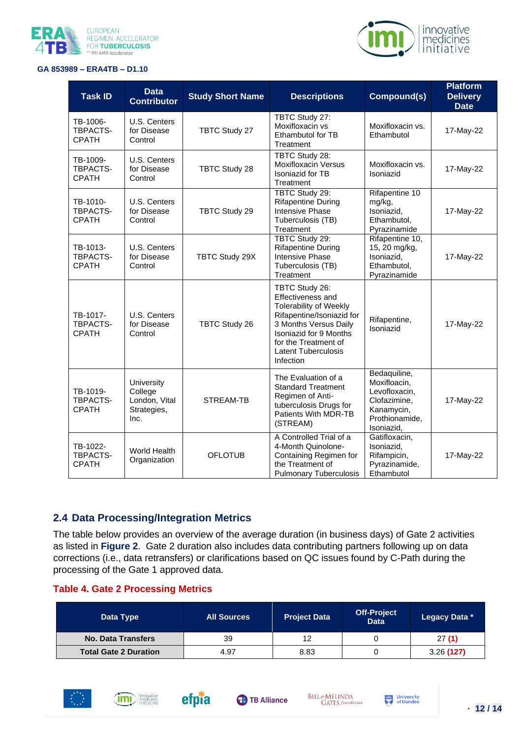![](_page_11_Picture_0.jpeg)

![](_page_11_Picture_1.jpeg)

| <b>Task ID</b>                              | <b>Data</b><br><b>Contributor</b>                             | <b>Study Short Name</b> | <b>Descriptions</b>                                                                                                                                                                                                     | Compound(s)                                                                                                 | <b>Platform</b><br><b>Delivery</b><br><b>Date</b> |
|---------------------------------------------|---------------------------------------------------------------|-------------------------|-------------------------------------------------------------------------------------------------------------------------------------------------------------------------------------------------------------------------|-------------------------------------------------------------------------------------------------------------|---------------------------------------------------|
| TB-1006-<br>TBPACTS-<br><b>CPATH</b>        | U.S. Centers<br>for Disease<br>Control                        | <b>TBTC Study 27</b>    | TBTC Study 27:<br>Moxifloxacin vs<br>Ethambutol for TB<br>Treatment                                                                                                                                                     | Moxifloxacin vs.<br>Ethambutol                                                                              | 17-May-22                                         |
| TB-1009-<br>TBPACTS-<br><b>CPATH</b>        | U.S. Centers<br>for Disease<br>Control                        | TBTC Study 28           | TBTC Study 28:<br><b>Moxifloxacin Versus</b><br>Isoniazid for TB<br>Treatment                                                                                                                                           | Moxifloxacin vs.<br>Isoniazid                                                                               | 17-May-22                                         |
| TB-1010-<br>TBPACTS-<br><b>CPATH</b>        | U.S. Centers<br>for Disease<br>Control                        | TBTC Study 29           | TBTC Study 29:<br><b>Rifapentine During</b><br><b>Intensive Phase</b><br>Tuberculosis (TB)<br>Treatment                                                                                                                 | Rifapentine 10<br>mg/kg,<br>Isoniazid,<br>Ethambutol,<br>Pyrazinamide                                       | 17-May-22                                         |
| TB-1013-<br>TBPACTS-<br><b>CPATH</b>        | U.S. Centers<br>for Disease<br>Control                        | TBTC Study 29X          | TBTC Study 29:<br><b>Rifapentine During</b><br>Intensive Phase<br>Tuberculosis (TB)<br>Treatment                                                                                                                        | Rifapentine 10,<br>15, 20 mg/kg,<br>Isoniazid,<br>Ethambutol,<br>Pyrazinamide                               | 17-May-22                                         |
| TB-1017-<br><b>TBPACTS-</b><br><b>CPATH</b> | U.S. Centers<br>for Disease<br>Control                        | <b>TBTC Study 26</b>    | TBTC Study 26:<br>Effectiveness and<br><b>Tolerability of Weekly</b><br>Rifapentine/Isoniazid for<br>3 Months Versus Daily<br>Isoniazid for 9 Months<br>for the Treatment of<br><b>Latent Tuberculosis</b><br>Infection | Rifapentine,<br>Isoniazid                                                                                   | 17-May-22                                         |
| TB-1019-<br>TBPACTS-<br><b>CPATH</b>        | University<br>College<br>London, Vital<br>Strategies,<br>Inc. | STREAM-TB               | The Evaluation of a<br><b>Standard Treatment</b><br>Regimen of Anti-<br>tuberculosis Drugs for<br>Patients With MDR-TB<br>(STREAM)                                                                                      | Bedaquiline,<br>Moxifloacin,<br>Levofloxacin,<br>Clofazimine,<br>Kanamycin,<br>Prothionamide,<br>Isoniazid, | 17-May-22                                         |
| TB-1022-<br>TBPACTS-<br><b>CPATH</b>        | <b>World Health</b><br>Organization                           | <b>OFLOTUB</b>          | A Controlled Trial of a<br>4-Month Quinolone-<br>Containing Regimen for<br>the Treatment of<br><b>Pulmonary Tuberculosis</b>                                                                                            | Gatifloxacin,<br>Isoniazid,<br>Rifampicin,<br>Pyrazinamide,<br>Ethambutol                                   | 17-May-22                                         |

#### <span id="page-11-0"></span>**2.4 Data Processing/Integration Metrics**

The table below provides an overview of the average duration (in business days) of Gate 2 activities as listed in **Figure 2**. Gate 2 duration also includes data contributing partners following up on data corrections (i.e., data retransfers) or clarifications based on QC issues found by C-Path during the processing of the Gate 1 approved data.

#### **Table 4. Gate 2 Processing Metrics**

| Data Type                    | <b>All Sources</b> | <b>Project Data</b> | <b>Off-Project</b><br><b>Data</b> | Legacy Data * |
|------------------------------|--------------------|---------------------|-----------------------------------|---------------|
| No. Data Transfers           | 39                 | 12                  |                                   | 27(1)         |
| <b>Total Gate 2 Duration</b> | 4.97               | 8.83                |                                   | 3.26(127)     |

![](_page_11_Picture_8.jpeg)

![](_page_11_Picture_9.jpeg)

![](_page_11_Picture_10.jpeg)

**BILL&MELINDA B** TB Alliance

![](_page_11_Picture_12.jpeg)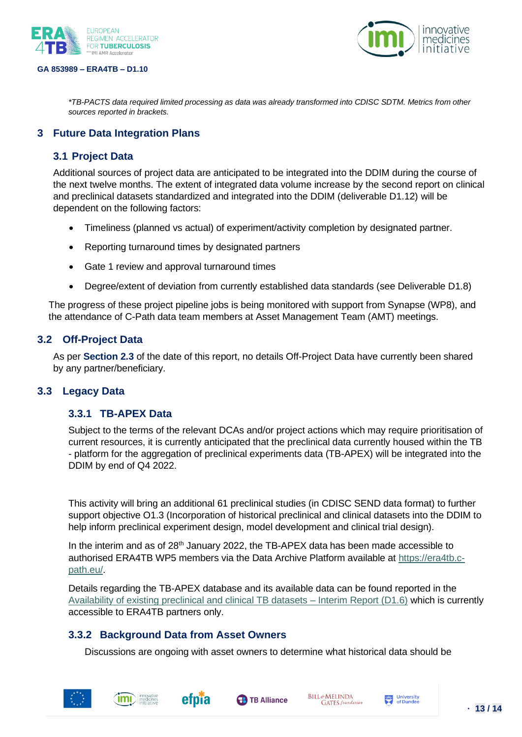![](_page_12_Picture_0.jpeg)

![](_page_12_Picture_2.jpeg)

*\*TB-PACTS data required limited processing as data was already transformed into CDISC SDTM. Metrics from other sources reported in brackets.*

## <span id="page-12-0"></span>**3 Future Data Integration Plans**

## <span id="page-12-1"></span>**3.1 Project Data**

Additional sources of project data are anticipated to be integrated into the DDIM during the course of the next twelve months. The extent of integrated data volume increase by the second report on clinical and preclinical datasets standardized and integrated into the DDIM (deliverable D1.12) will be dependent on the following factors:

- Timeliness (planned vs actual) of experiment/activity completion by designated partner.
- Reporting turnaround times by designated partners
- Gate 1 review and approval turnaround times
- Degree/extent of deviation from currently established data standards (see Deliverable D1.8)

The progress of these project pipeline jobs is being monitored with support from Synapse (WP8), and the attendance of C-Path data team members at Asset Management Team (AMT) meetings.

## <span id="page-12-2"></span>**3.2 Off-Project Data**

As per **Section 2.3** of the date of this report, no details Off-Project Data have currently been shared by any partner/beneficiary.

#### <span id="page-12-4"></span><span id="page-12-3"></span>**3.3 Legacy Data**

#### **3.3.1 TB-APEX Data**

Subject to the terms of the relevant DCAs and/or project actions which may require prioritisation of current resources, it is currently anticipated that the preclinical data currently housed within the TB - platform for the aggregation of preclinical experiments data (TB-APEX) will be integrated into the DDIM by end of Q4 2022.

This activity will bring an additional 61 preclinical studies (in CDISC SEND data format) to further support objective O1.3 (Incorporation of historical preclinical and clinical datasets into the DDIM to help inform preclinical experiment design, model development and clinical trial design).

In the interim and as of 28<sup>th</sup> January 2022, the TB-APEX data has been made accessible to authorised ERA4TB WP5 members via the Data Archive Platform available at [https://era4tb.c](https://era4tb.c-path.eu/)[path.eu/.](https://era4tb.c-path.eu/)

Details regarding the TB-APEX database and its available data can be found reported in th[e](https://synapsemanagers.sharepoint.com/:b:/r/sites/ETB-RA/Shared%20Documents/Submitted%20deliverables/D1.6_Availability%20of%20existing%20preclinical%20and%20clinical%20TB%20datasets-Interim%20Report.pdf?csf=1&web=1&e=ny4Yda) [Availability of existing preclinical and clinical TB datasets –](https://synapsemanagers.sharepoint.com/:b:/r/sites/ETB-RA/Shared%20Documents/Submitted%20deliverables/D1.6_Availability%20of%20existing%20preclinical%20and%20clinical%20TB%20datasets-Interim%20Report.pdf?csf=1&web=1&e=ny4Yda) Interim Report (D1.6) which is currently accessible to ERA4TB partners only.

## <span id="page-12-5"></span>**3.3.2 Background Data from Asset Owners**

Discussions are ongoing with asset owners to determine what historical data should be

![](_page_12_Picture_22.jpeg)

![](_page_12_Picture_24.jpeg)

![](_page_12_Picture_25.jpeg)

![](_page_12_Picture_27.jpeg)